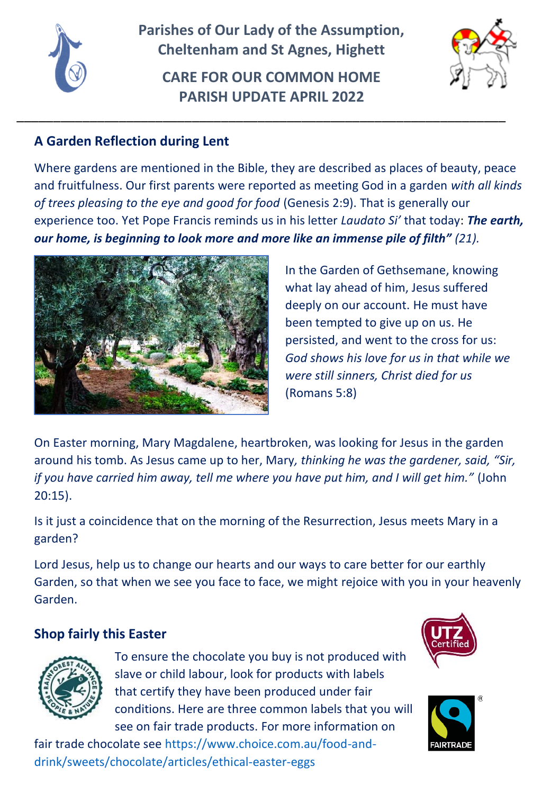

**Parishes of Our Lady of the Assumption, Cheltenham and St Agnes, Highett** 

**CARE FOR OUR COMMON HOME PARISH UPDATE APRIL 2022**

\_\_\_\_\_\_\_\_\_\_\_\_\_\_\_\_\_\_\_\_\_\_\_\_\_\_\_\_\_\_\_\_\_\_\_\_\_\_\_\_\_\_\_\_\_\_\_\_\_\_\_\_\_\_\_\_\_\_\_\_\_\_\_\_\_\_\_



# **A Garden Reflection during Lent**

Where gardens are mentioned in the Bible, they are described as places of beauty, peace and fruitfulness. Our first parents were reported as meeting God in a garden *with all kinds of trees pleasing to the eye and good for food* (Genesis 2:9). That is generally our experience too. Yet Pope Francis reminds us in his letter *Laudato Si'* that today: *The earth, our home, is beginning to look more and more like an immense pile of filth" (21).*



In the Garden of Gethsemane, knowing what lay ahead of him, Jesus suffered deeply on our account. He must have been tempted to give up on us. He persisted, and went to the cross for us: *God shows his love for us in that while we were still sinners, Christ died for us* (Romans 5:8)

On Easter morning, Mary Magdalene, heartbroken, was looking for Jesus in the garden around his tomb. As Jesus came up to her, Mary*, thinking he was the gardener, said, "Sir, if you have carried him away, tell me where you have put him, and I will get him."* (John 20:15).

Is it just a coincidence that on the morning of the Resurrection, Jesus meets Mary in a garden?

Lord Jesus, help us to change our hearts and our ways to care better for our earthly Garden, so that when we see you face to face, we might rejoice with you in your heavenly Garden.

## **Shop fairly this Easter**



To ensure the chocolate you buy is not produced with slave or child labour, look for products with labels that certify they have been produced under fair conditions. Here are three common labels that you will see on fair trade products. For more information on

fair trade chocolate se[e https://www.choice.com.au/food-and](https://www.choice.com.au/food-and-drink/sweets/chocolate/articles/ethical-easter-eggs)[drink/sweets/chocolate/articles/ethical-easter-eggs](https://www.choice.com.au/food-and-drink/sweets/chocolate/articles/ethical-easter-eggs)